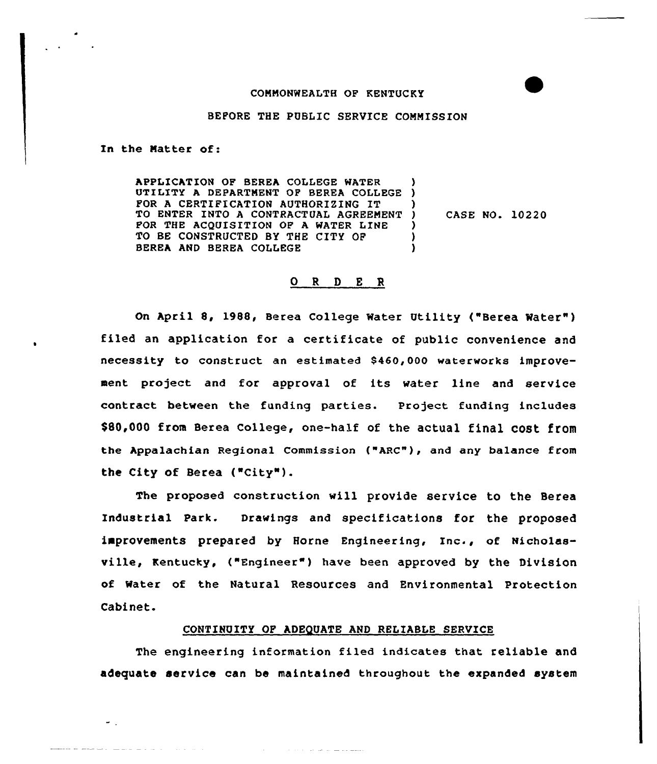# COMMONWEALTH OF KENTUCKY

### BEFORE THE PUBLIC SERVICE COMMISSION

In the Matter of:

 $\omega_{\rm{max}}$ 

المرابين والمرابي والمرابط والمستقيم والمتعلقة للمناسب

APPLICATION OF BEREA COLLEGE WATER APPLICATION OF BEREA COLLEGE WATER (1988)<br>UTILITY A DEPARTMENT OF BEREA COLLEGE (1988) FOR <sup>A</sup> CERTIFICATION AUTHORIZING IT TO ENTER INTO A CONTRACTUAL AGREEMENT FOR THE ACQUISITION OF A WATER LINE TO BE CONSTRUCTED BY THE CITY OF BEREA AND BEREA COLLEGE ) ) ) CASE NO. 10220 ) ) )

# 0 <sup>R</sup> <sup>D</sup> E <sup>R</sup>

On April 8, 1988, Berea College Mater Utility ("Berea Mater" ) filed an application for a certificate of public convenience and necessity to construct an estimated \$460,000 waterworks improvement project and for approval of its water line and service contract between the funding parties. Project funding includes \$80,000 from Berea College, one-half of the actual final cost from the Appalachian Regional Commission {"ARC"), and any balance from the City of Berea ("City"}.

The proposed construction will provide service to the Berea Industrial park. Drawings and specifications for the proposed improvements prepared by Horne Engineering, Inc., of Nicholasville, Kentucky, {"Engineer") have been approved by the Division of Mater of the Natural Resources and Environmental Protection Cabinet.

## CONTINUITY OF ADEQUATE AND RELIABLE SERVICE

The engineering information filed indicates that reliable and adequate service can be maintained throughout the expanded system

ومهضوعه الصارعة المرابط المراري والمراري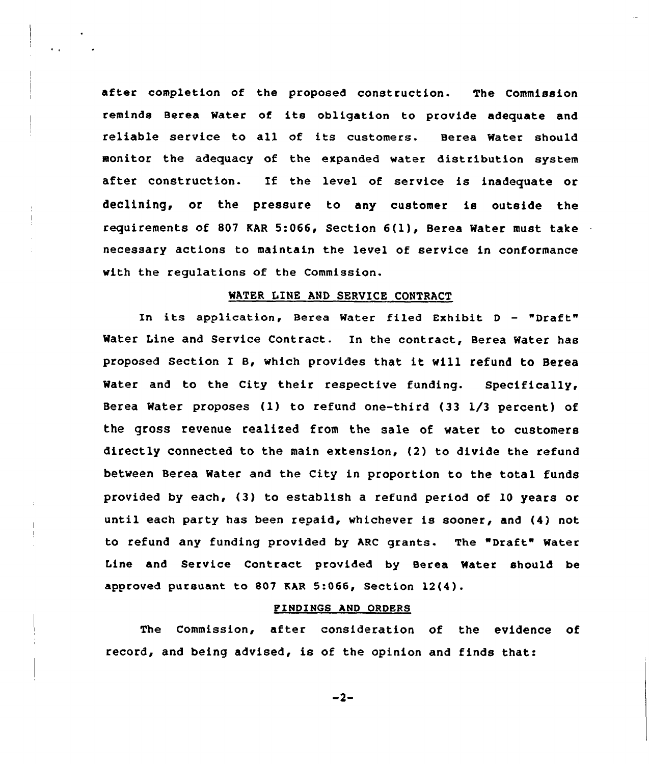after completion of the proposed construction. The Commission reminds Berea Water of its obligation to provide adequate and reliable service to all of its customers. Berea Water should monitor the adequacy of the expanded water distribution system after construction. If the level of service is inadequate or declining, or the pressure to any customer is outside the requirements of 807 KAR 5:066, Section  $6(1)$ , Berea Water must take necessary actions to maintain the level of service in conformance with the regulations of the Commission.

### MATER LINE AND SERUICE CONTRACT

In its application, Berea Water filed Exhibit D - "Draft" Water Line and Service Contract. In the contract, Berea Water has proposed Section I B, which provides that it will refund to Berea Water and to the City their respective funding. Specifically, Berea Water proposes (1) to refund one-third (33 1/3 percent) of the gross revenue realized from the sale of water to customers directly connected to the main extension, (2) to divide the refund between Berea Water and the City in proportion to the total funds provided by each, (3) to establish a refund period of 10 years or until each party has been repaid, whichever is sooner, and (4) not to refund any funding provided by ARC grants. The "Draft" Water Line and Service Contract provided by Berea Water should be approved pursuant to 807 EAR 5:066, Section 12(4).

### FINDINGS AND ORDERS

The Commission, after consideration of the evidence of record, and being advised, is of the opinion and finds that:

 $-2-$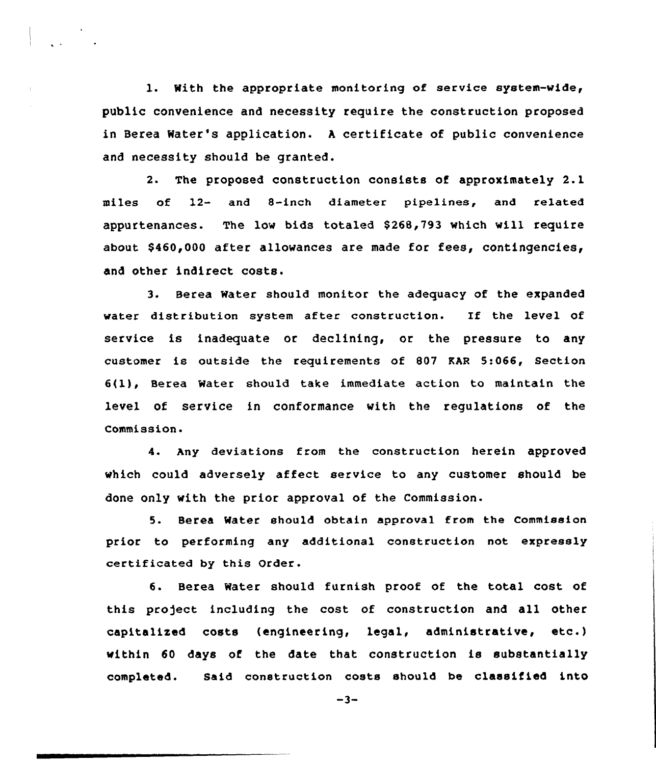l. With the appropriate monitoring of service system-wide, public convenience and necessity require the construction proposed in Berea Water's application. <sup>A</sup> certificate of public convenience and necessity should be granted.

2. The proposed construction consists of approximately 2.1 miles of l2- and 8-inch diameter pipe1ines, and re1ated appurtenances. The low bide totaled \$ 268,793 which will require about  $$460,000$  after allowances are made for fees, contingencies, and other indirect costs.

3. Berea Water should monitor the adequacy of the expanded water distribution system after construction. If the level of service is inadequate or declining, or the pressure to any customer ie outside the requirements of 807 EAR 5:066, Section  $6(1)$ , Berea Water should take immediate action to maintain the level of service in conformance with the regulations of the Commission.

4. Any deviations from the construction herein approved which could adversely affect service to any customer should be done only with the prior approval of the Commission.

5. Berea Water should obtain approval from the Commission prior to performing any additional construction not expressly certificated by this Order.

6. Berea Water should furnish proof of the total cost of this project including the cost of construction and all other capitalized costs (engineering, legal, administrative, etc.) within 60 days of the date that construction is substantially completed. Said construction costs should be classified into

 $-3-$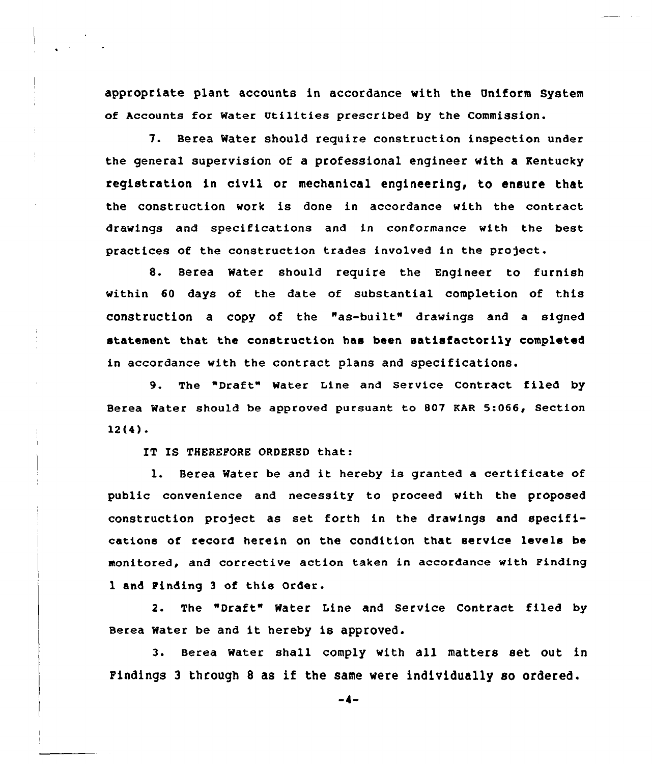appropriate plant accounts in accordance with the Uniform System of Accounts for water Utilities prescribed by the commission.

7. Berea Water should require construction inspection under the general supervision of a professional engineer with a Kentucky registration in civil or mechanical engineering, to ensure that the construction work is done in accordance with the contract drawings and specifications and in conformance with the best practices of the construction trades involved in the project.

8. Berea Water should require the Engineer to furnish within 60 days of the date of substantial completion of this construction a copy of the "as-built" drawings and a signed statement that the construction has been satisfactorily completed in accordance with the contract plans and specifications.

9. The "Draft" Mater Line and Service Contract filed by Berea Water should be approved pursuant to 807 EAR 5:066, Section 12(4).

IT IS THEREFORE ORDERED that:

l. Berea Water be and it hereby is granted <sup>a</sup> certificate of public convenience and necessity to proceed with the proposed construction project as set forth in the drawings and specifications of record herein on the condition that service levels be monitored, and corrective action taken in accordance with Finding 1 and Finding <sup>3</sup> of this Order.

2. The "Draft" Water Line and Service Contract filed by Berea water be and it hereby is approved.

3. Berea water shall comply with all matters set out in Findings <sup>3</sup> through <sup>8</sup> as if the same Mere individually so ordered.

 $-4-$